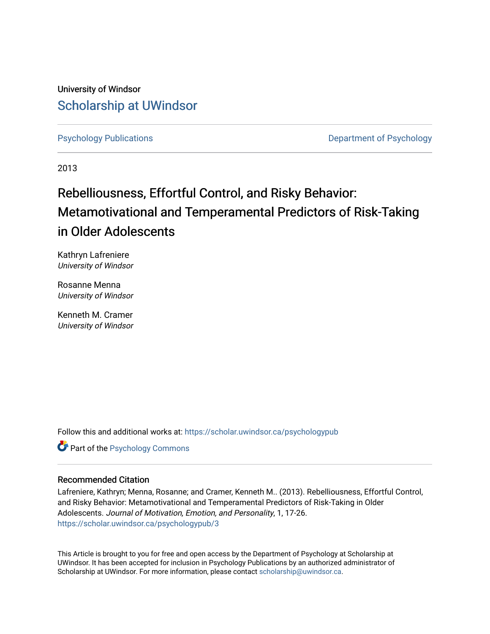University of Windsor [Scholarship at UWindsor](https://scholar.uwindsor.ca/) 

[Psychology Publications](https://scholar.uwindsor.ca/psychologypub) [Department of Psychology](https://scholar.uwindsor.ca/psychology) 

2013

# Rebelliousness, Effortful Control, and Risky Behavior: Metamotivational and Temperamental Predictors of Risk-Taking in Older Adolescents

Kathryn Lafreniere University of Windsor

Rosanne Menna University of Windsor

Kenneth M. Cramer University of Windsor

Follow this and additional works at: [https://scholar.uwindsor.ca/psychologypub](https://scholar.uwindsor.ca/psychologypub?utm_source=scholar.uwindsor.ca%2Fpsychologypub%2F3&utm_medium=PDF&utm_campaign=PDFCoverPages) 

Part of the [Psychology Commons](http://network.bepress.com/hgg/discipline/404?utm_source=scholar.uwindsor.ca%2Fpsychologypub%2F3&utm_medium=PDF&utm_campaign=PDFCoverPages) 

# Recommended Citation

Lafreniere, Kathryn; Menna, Rosanne; and Cramer, Kenneth M.. (2013). Rebelliousness, Effortful Control, and Risky Behavior: Metamotivational and Temperamental Predictors of Risk-Taking in Older Adolescents. Journal of Motivation, Emotion, and Personality, 1, 17-26. [https://scholar.uwindsor.ca/psychologypub/3](https://scholar.uwindsor.ca/psychologypub/3?utm_source=scholar.uwindsor.ca%2Fpsychologypub%2F3&utm_medium=PDF&utm_campaign=PDFCoverPages) 

This Article is brought to you for free and open access by the Department of Psychology at Scholarship at UWindsor. It has been accepted for inclusion in Psychology Publications by an authorized administrator of Scholarship at UWindsor. For more information, please contact [scholarship@uwindsor.ca.](mailto:scholarship@uwindsor.ca)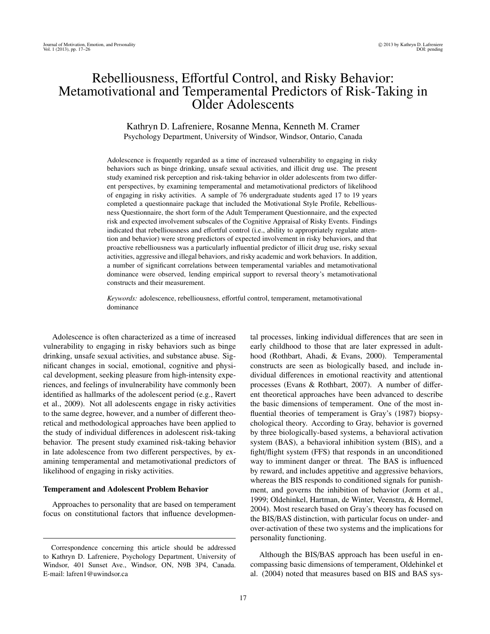# Rebelliousness, Effortful Control, and Risky Behavior: Metamotivational and Temperamental Predictors of Risk-Taking in Older Adolescents

## Kathryn D. Lafreniere, Rosanne Menna, Kenneth M. Cramer Psychology Department, University of Windsor, Windsor, Ontario, Canada

Adolescence is frequently regarded as a time of increased vulnerability to engaging in risky behaviors such as binge drinking, unsafe sexual activities, and illicit drug use. The present study examined risk perception and risk-taking behavior in older adolescents from two different perspectives, by examining temperamental and metamotivational predictors of likelihood of engaging in risky activities. A sample of 76 undergraduate students aged 17 to 19 years completed a questionnaire package that included the Motivational Style Profile, Rebelliousness Questionnaire, the short form of the Adult Temperament Questionnaire, and the expected risk and expected involvement subscales of the Cognitive Appraisal of Risky Events. Findings indicated that rebelliousness and effortful control (i.e., ability to appropriately regulate attention and behavior) were strong predictors of expected involvement in risky behaviors, and that proactive rebelliousness was a particularly influential predictor of illicit drug use, risky sexual activities, aggressive and illegal behaviors, and risky academic and work behaviors. In addition, a number of significant correlations between temperamental variables and metamotivational dominance were observed, lending empirical support to reversal theory's metamotivational constructs and their measurement.

*Keywords:* adolescence, rebelliousness, effortful control, temperament, metamotivational dominance

Adolescence is often characterized as a time of increased vulnerability to engaging in risky behaviors such as binge drinking, unsafe sexual activities, and substance abuse. Significant changes in social, emotional, cognitive and physical development, seeking pleasure from high-intensity experiences, and feelings of invulnerability have commonly been identified as hallmarks of the adolescent period (e.g., Ravert et al., 2009). Not all adolescents engage in risky activities to the same degree, however, and a number of different theoretical and methodological approaches have been applied to the study of individual differences in adolescent risk-taking behavior. The present study examined risk-taking behavior in late adolescence from two different perspectives, by examining temperamental and metamotivational predictors of likelihood of engaging in risky activities.

#### Temperament and Adolescent Problem Behavior

Approaches to personality that are based on temperament focus on constitutional factors that influence developmental processes, linking individual differences that are seen in early childhood to those that are later expressed in adulthood (Rothbart, Ahadi, & Evans, 2000). Temperamental constructs are seen as biologically based, and include individual differences in emotional reactivity and attentional processes (Evans & Rothbart, 2007). A number of different theoretical approaches have been advanced to describe the basic dimensions of temperament. One of the most influential theories of temperament is Gray's (1987) biopsychological theory. According to Gray, behavior is governed by three biologically-based systems, a behavioral activation system (BAS), a behavioral inhibition system (BIS), and a fight/flight system (FFS) that responds in an unconditioned way to imminent danger or threat. The BAS is influenced by reward, and includes appetitive and aggressive behaviors, whereas the BIS responds to conditioned signals for punishment, and governs the inhibition of behavior (Jorm et al., 1999; Oldehinkel, Hartman, de Winter, Veenstra, & Hormel, 2004). Most research based on Gray's theory has focused on the BIS/BAS distinction, with particular focus on under- and over-activation of these two systems and the implications for personality functioning.

Although the BIS/BAS approach has been useful in encompassing basic dimensions of temperament, Oldehinkel et al. (2004) noted that measures based on BIS and BAS sys-

Correspondence concerning this article should be addressed to Kathryn D. Lafreniere, Psychology Department, University of Windsor, 401 Sunset Ave., Windsor, ON, N9B 3P4, Canada. E-mail: lafren1@uwindsor.ca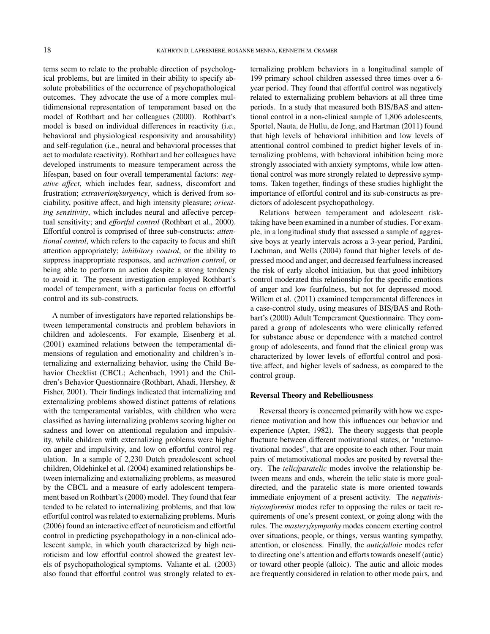tems seem to relate to the probable direction of psychological problems, but are limited in their ability to specify absolute probabilities of the occurrence of psychopathological outcomes. They advocate the use of a more complex multidimensional representation of temperament based on the model of Rothbart and her colleagues (2000). Rothbart's model is based on individual differences in reactivity (i.e., behavioral and physiological responsivity and arousability) and self-regulation (i.e., neural and behavioral processes that act to modulate reactivity). Rothbart and her colleagues have developed instruments to measure temperament across the lifespan, based on four overall temperamental factors: *negative a*ff*ect*, which includes fear, sadness, discomfort and frustration; *extraverion*/*surgency*, which is derived from sociability, positive affect, and high intensity pleasure; *orienting sensitivity*, which includes neural and affective perceptual sensitivity; and *e*ff*ortful control* (Rothbart et al., 2000). Effortful control is comprised of three sub-constructs: *attentional control*, which refers to the capacity to focus and shift attention appropriately; *inhibitory control*, or the ability to suppress inappropriate responses, and *activation control*, or being able to perform an action despite a strong tendency to avoid it. The present investigation employed Rothbart's model of temperament, with a particular focus on effortful control and its sub-constructs.

A number of investigators have reported relationships between temperamental constructs and problem behaviors in children and adolescents. For example, Eisenberg et al. (2001) examined relations between the temperamental dimensions of regulation and emotionality and children's internalizing and externalizing behavior, using the Child Behavior Checklist (CBCL; Achenbach, 1991) and the Children's Behavior Questionnaire (Rothbart, Ahadi, Hershey, & Fisher, 2001). Their findings indicated that internalizing and externalizing problems showed distinct patterns of relations with the temperamental variables, with children who were classified as having internalizing problems scoring higher on sadness and lower on attentional regulation and impulsivity, while children with externalizing problems were higher on anger and impulsivity, and low on effortful control regulation. In a sample of 2,230 Dutch preadolescent school children, Oldehinkel et al. (2004) examined relationships between internalizing and externalizing problems, as measured by the CBCL and a measure of early adolescent temperament based on Rothbart's (2000) model. They found that fear tended to be related to internalizing problems, and that low effortful control was related to externalizing problems. Muris (2006) found an interactive effect of neuroticism and effortful control in predicting psychopathology in a non-clinical adolescent sample, in which youth characterized by high neuroticism and low effortful control showed the greatest levels of psychopathological symptoms. Valiante et al. (2003) also found that effortful control was strongly related to externalizing problem behaviors in a longitudinal sample of 199 primary school children assessed three times over a 6 year period. They found that effortful control was negatively related to externalizing problem behaviors at all three time periods. In a study that measured both BIS/BAS and attentional control in a non-clinical sample of 1,806 adolescents, Sportel, Nauta, de Hullu, de Jong, and Hartman (2011) found that high levels of behavioral inhibition and low levels of attentional control combined to predict higher levels of internalizing problems, with behavioral inhibition being more strongly associated with anxiety symptoms, while low attentional control was more strongly related to depressive symptoms. Taken together, findings of these studies highlight the importance of effortful control and its sub-constructs as predictors of adolescent psychopathology.

Relations between temperament and adolescent risktaking have been examined in a number of studies. For example, in a longitudinal study that assessed a sample of aggressive boys at yearly intervals across a 3-year period, Pardini, Lochman, and Wells (2004) found that higher levels of depressed mood and anger, and decreased fearfulness increased the risk of early alcohol initiation, but that good inhibitory control moderated this relationship for the specific emotions of anger and low fearfulness, but not for depressed mood. Willem et al. (2011) examined temperamental differences in a case-control study, using measures of BIS/BAS and Rothbart's (2000) Adult Temperament Questionnaire. They compared a group of adolescents who were clinically referred for substance abuse or dependence with a matched control group of adolescents, and found that the clinical group was characterized by lower levels of effortful control and positive affect, and higher levels of sadness, as compared to the control group.

#### Reversal Theory and Rebelliousness

Reversal theory is concerned primarily with how we experience motivation and how this influences our behavior and experience (Apter, 1982). The theory suggests that people fluctuate between different motivational states, or "metamotivational modes", that are opposite to each other. Four main pairs of metamotivational modes are posited by reversal theory. The *telic*/*paratelic* modes involve the relationship between means and ends, wherein the telic state is more goaldirected, and the paratelic state is more oriented towards immediate enjoyment of a present activity. The *negativistic*/*conformist* modes refer to opposing the rules or tacit requirements of one's present context, or going along with the rules. The *mastery*/*sympathy* modes concern exerting control over situations, people, or things, versus wanting sympathy, attention, or closeness. Finally, the *autic*/*alloic* modes refer to directing one's attention and efforts towards oneself (autic) or toward other people (alloic). The autic and alloic modes are frequently considered in relation to other mode pairs, and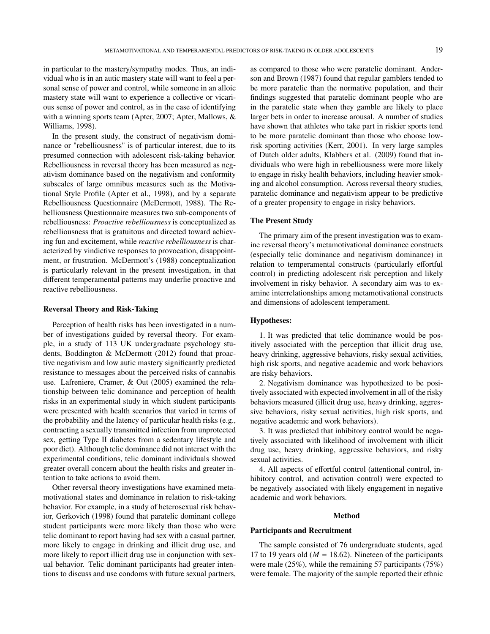in particular to the mastery/sympathy modes. Thus, an individual who is in an autic mastery state will want to feel a personal sense of power and control, while someone in an alloic mastery state will want to experience a collective or vicarious sense of power and control, as in the case of identifying with a winning sports team (Apter, 2007; Apter, Mallows, & Williams, 1998).

In the present study, the construct of negativism dominance or "rebelliousness" is of particular interest, due to its presumed connection with adolescent risk-taking behavior. Rebelliousness in reversal theory has been measured as negativism dominance based on the negativism and conformity subscales of large omnibus measures such as the Motivational Style Profile (Apter et al., 1998), and by a separate Rebelliousness Questionnaire (McDermott, 1988). The Rebelliousness Questionnaire measures two sub-components of rebelliousness: *Proactive rebelliousness* is conceptualized as rebelliousness that is gratuitous and directed toward achieving fun and excitement, while *reactive rebelliousness* is characterized by vindictive responses to provocation, disappointment, or frustration. McDermott's (1988) conceptualization is particularly relevant in the present investigation, in that different temperamental patterns may underlie proactive and reactive rebelliousness.

#### Reversal Theory and Risk-Taking

Perception of health risks has been investigated in a number of investigations guided by reversal theory. For example, in a study of 113 UK undergraduate psychology students, Boddington & McDermott (2012) found that proactive negativism and low autic mastery significantly predicted resistance to messages about the perceived risks of cannabis use. Lafreniere, Cramer, & Out (2005) examined the relationship between telic dominance and perception of health risks in an experimental study in which student participants were presented with health scenarios that varied in terms of the probability and the latency of particular health risks (e.g., contracting a sexually transmitted infection from unprotected sex, getting Type II diabetes from a sedentary lifestyle and poor diet). Although telic dominance did not interact with the experimental conditions, telic dominant individuals showed greater overall concern about the health risks and greater intention to take actions to avoid them.

Other reversal theory investigations have examined metamotivational states and dominance in relation to risk-taking behavior. For example, in a study of heterosexual risk behavior, Gerkovich (1998) found that paratelic dominant college student participants were more likely than those who were telic dominant to report having had sex with a casual partner, more likely to engage in drinking and illicit drug use, and more likely to report illicit drug use in conjunction with sexual behavior. Telic dominant participants had greater intentions to discuss and use condoms with future sexual partners,

as compared to those who were paratelic dominant. Anderson and Brown (1987) found that regular gamblers tended to be more paratelic than the normative population, and their findings suggested that paratelic dominant people who are in the paratelic state when they gamble are likely to place larger bets in order to increase arousal. A number of studies have shown that athletes who take part in riskier sports tend to be more paratelic dominant than those who choose lowrisk sporting activities (Kerr, 2001). In very large samples of Dutch older adults, Klabbers et al. (2009) found that individuals who were high in rebelliousness were more likely to engage in risky health behaviors, including heavier smoking and alcohol consumption. Across reversal theory studies, paratelic dominance and negativism appear to be predictive of a greater propensity to engage in risky behaviors.

#### The Present Study

The primary aim of the present investigation was to examine reversal theory's metamotivational dominance constructs (especially telic dominance and negativism dominance) in relation to temperamental constructs (particularly effortful control) in predicting adolescent risk perception and likely involvement in risky behavior. A secondary aim was to examine interrelationships among metamotivational constructs and dimensions of adolescent temperament.

#### Hypotheses:

1. It was predicted that telic dominance would be positively associated with the perception that illicit drug use, heavy drinking, aggressive behaviors, risky sexual activities, high risk sports, and negative academic and work behaviors are risky behaviors.

2. Negativism dominance was hypothesized to be positively associated with expected involvement in all of the risky behaviors measured (illicit drug use, heavy drinking, aggressive behaviors, risky sexual activities, high risk sports, and negative academic and work behaviors).

3. It was predicted that inhibitory control would be negatively associated with likelihood of involvement with illicit drug use, heavy drinking, aggressive behaviors, and risky sexual activities.

4. All aspects of effortful control (attentional control, inhibitory control, and activation control) were expected to be negatively associated with likely engagement in negative academic and work behaviors.

#### Method

#### Participants and Recruitment

The sample consisted of 76 undergraduate students, aged 17 to 19 years old ( $M = 18.62$ ). Nineteen of the participants were male (25%), while the remaining 57 participants (75%) were female. The majority of the sample reported their ethnic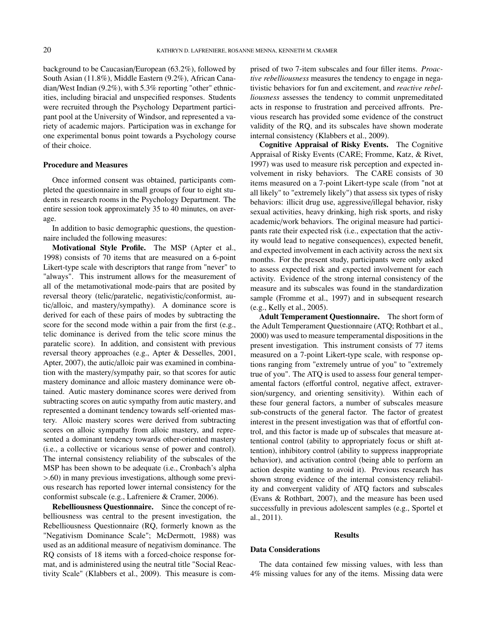background to be Caucasian/European (63.2%), followed by South Asian (11.8%), Middle Eastern (9.2%), African Canadian/West Indian (9.2%), with 5.3% reporting "other" ethnicities, including biracial and unspecified responses. Students were recruited through the Psychology Department participant pool at the University of Windsor, and represented a variety of academic majors. Participation was in exchange for one experimental bonus point towards a Psychology course of their choice.

#### Procedure and Measures

Once informed consent was obtained, participants completed the questionnaire in small groups of four to eight students in research rooms in the Psychology Department. The entire session took approximately 35 to 40 minutes, on average.

In addition to basic demographic questions, the questionnaire included the following measures:

Motivational Style Profile. The MSP (Apter et al., 1998) consists of 70 items that are measured on a 6-point Likert-type scale with descriptors that range from "never" to "always". This instrument allows for the measurement of all of the metamotivational mode-pairs that are posited by reversal theory (telic/paratelic, negativistic/conformist, autic/alloic, and mastery/sympathy). A dominance score is derived for each of these pairs of modes by subtracting the score for the second mode within a pair from the first (e.g., telic dominance is derived from the telic score minus the paratelic score). In addition, and consistent with previous reversal theory approaches (e.g., Apter & Desselles, 2001, Apter, 2007), the autic/alloic pair was examined in combination with the mastery/sympathy pair, so that scores for autic mastery dominance and alloic mastery dominance were obtained. Autic mastery dominance scores were derived from subtracting scores on autic sympathy from autic mastery, and represented a dominant tendency towards self-oriented mastery. Alloic mastery scores were derived from subtracting scores on alloic sympathy from alloic mastery, and represented a dominant tendency towards other-oriented mastery (i.e., a collective or vicarious sense of power and control). The internal consistency reliability of the subscales of the MSP has been shown to be adequate (i.e., Cronbach's alpha >.60) in many previous investigations, although some previous research has reported lower internal consistency for the conformist subscale (e.g., Lafreniere & Cramer, 2006).

Rebelliousness Questionnaire. Since the concept of rebelliousness was central to the present investigation, the Rebelliousness Questionnaire (RQ, formerly known as the "Negativism Dominance Scale"; McDermott, 1988) was used as an additional measure of negativism dominance. The RQ consists of 18 items with a forced-choice response format, and is administered using the neutral title "Social Reactivity Scale" (Klabbers et al., 2009). This measure is comprised of two 7-item subscales and four filler items. *Proactive rebelliousness* measures the tendency to engage in negativistic behaviors for fun and excitement, and *reactive rebelliousness* assesses the tendency to commit unpremeditated acts in response to frustration and perceived affronts. Previous research has provided some evidence of the construct validity of the RQ, and its subscales have shown moderate internal consistency (Klabbers et al., 2009).

Cognitive Appraisal of Risky Events. The Cognitive Appraisal of Risky Events (CARE; Fromme, Katz, & Rivet, 1997) was used to measure risk perception and expected involvement in risky behaviors. The CARE consists of 30 items measured on a 7-point Likert-type scale (from "not at all likely" to "extremely likely") that assess six types of risky behaviors: illicit drug use, aggressive/illegal behavior, risky sexual activities, heavy drinking, high risk sports, and risky academic/work behaviors. The original measure had participants rate their expected risk (i.e., expectation that the activity would lead to negative consequences), expected benefit, and expected involvement in each activity across the next six months. For the present study, participants were only asked to assess expected risk and expected involvement for each activity. Evidence of the strong internal consistency of the measure and its subscales was found in the standardization sample (Fromme et al., 1997) and in subsequent research (e.g., Kelly et al., 2005).

Adult Temperament Questionnaire. The short form of the Adult Temperament Questionnaire (ATQ; Rothbart et al., 2000) was used to measure temperamental dispositions in the present investigation. This instrument consists of 77 items measured on a 7-point Likert-type scale, with response options ranging from "extremely untrue of you" to "extremely true of you". The ATQ is used to assess four general temperamental factors (effortful control, negative affect, extraversion/surgency, and orienting sensitivity). Within each of these four general factors, a number of subscales measure sub-constructs of the general factor. The factor of greatest interest in the present investigation was that of effortful control, and this factor is made up of subscales that measure attentional control (ability to appropriately focus or shift attention), inhibitory control (ability to suppress inappropriate behavior), and activation control (being able to perform an action despite wanting to avoid it). Previous research has shown strong evidence of the internal consistency reliability and convergent validity of ATQ factors and subscales (Evans & Rothbart, 2007), and the measure has been used successfully in previous adolescent samples (e.g., Sportel et al., 2011).

#### Results

#### Data Considerations

The data contained few missing values, with less than 4% missing values for any of the items. Missing data were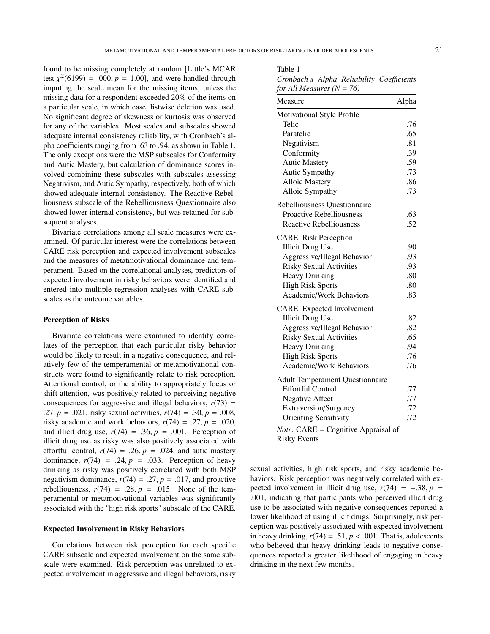found to be missing completely at random [Little's MCAR test  $\chi^2(6199) = .000, p = 1.00$ , and were handled through<br>imputing the scale mean for the missing items, unless the imputing the scale mean for the missing items, unless the missing data for a respondent exceeded 20% of the items on a particular scale, in which case, listwise deletion was used. No significant degree of skewness or kurtosis was observed for any of the variables. Most scales and subscales showed adequate internal consistency reliability, with Cronbach's alpha coefficients ranging from .63 to .94, as shown in Table 1. The only exceptions were the MSP subscales for Conformity and Autic Mastery, but calculation of dominance scores involved combining these subscales with subscales assessing Negativism, and Autic Sympathy, respectively, both of which showed adequate internal consistency. The Reactive Rebelliousness subscale of the Rebelliousness Questionnaire also showed lower internal consistency, but was retained for subsequent analyses.

Bivariate correlations among all scale measures were examined. Of particular interest were the correlations between CARE risk perception and expected involvement subscales and the measures of metatmotivational dominance and temperament. Based on the correlational analyses, predictors of expected involvement in risky behaviors were identified and entered into multiple regression analyses with CARE subscales as the outcome variables.

#### Perception of Risks

Bivariate correlations were examined to identify correlates of the perception that each particular risky behavior would be likely to result in a negative consequence, and relatively few of the temperamental or metamotivational constructs were found to significantly relate to risk perception. Attentional control, or the ability to appropriately focus or shift attention, was positively related to perceiving negative consequences for aggressive and illegal behaviors,  $r(73)$  = .27,  $p = .021$ , risky sexual activities,  $r(74) = .30$ ,  $p = .008$ , risky academic and work behaviors,  $r(74) = .27$ ,  $p = .020$ , and illicit drug use,  $r(74) = .36$ ,  $p = .001$ . Perception of illicit drug use as risky was also positively associated with effortful control,  $r(74) = .26$ ,  $p = .024$ , and autic mastery dominance,  $r(74) = .24$ ,  $p = .033$ . Perception of heavy drinking as risky was positively correlated with both MSP negativism dominance,  $r(74) = .27$ ,  $p = .017$ , and proactive rebelliousness,  $r(74) = .28$ ,  $p = .015$ . None of the temperamental or metamotivational variables was significantly associated with the "high risk sports" subscale of the CARE.

#### Expected Involvement in Risky Behaviors

Correlations between risk perception for each specific CARE subscale and expected involvement on the same subscale were examined. Risk perception was unrelated to expected involvement in aggressive and illegal behaviors, risky

#### Table 1

*Cronbach's Alpha Reliability Coe*ffi*cients for All Measures (N* = *76)*

| Measure                                    | Alpha |
|--------------------------------------------|-------|
| Motivational Style Profile                 |       |
| Telic                                      | .76   |
| Paratelic                                  | .65   |
| Negativism                                 | .81   |
| Conformity                                 | .39   |
| <b>Autic Mastery</b>                       | .59   |
| Autic Sympathy                             | .73   |
| Alloic Mastery                             | .86   |
| Alloic Sympathy                            | .73   |
| Rebelliousness Questionnaire               |       |
| <b>Proactive Rebelliousness</b>            | .63   |
| <b>Reactive Rebelliousness</b>             | .52   |
| <b>CARE: Risk Perception</b>               |       |
| <b>Illicit Drug Use</b>                    | .90   |
| Aggressive/Illegal Behavior                | .93   |
| <b>Risky Sexual Activities</b>             | .93   |
| <b>Heavy Drinking</b>                      | .80   |
| <b>High Risk Sports</b>                    | .80   |
| Academic/Work Behaviors                    | .83   |
| <b>CARE: Expected Involvement</b>          |       |
| <b>Illicit Drug Use</b>                    | .82   |
| Aggressive/Illegal Behavior                | .82   |
| <b>Risky Sexual Activities</b>             | .65   |
| <b>Heavy Drinking</b>                      | .94   |
| <b>High Risk Sports</b>                    | .76   |
| Academic/Work Behaviors                    | .76   |
| <b>Adult Temperament Questionnaire</b>     |       |
| <b>Effortful Control</b>                   | .77   |
| <b>Negative Affect</b>                     | .77   |
| <b>Extraversion/Surgency</b>               | .72   |
| <b>Orienting Sensitivity</b>               | .72   |
| <b>Note.</b> CARE = Cognitive Appraisal of |       |

Risky Events

sexual activities, high risk sports, and risky academic behaviors. Risk perception was negatively correlated with expected involvement in illicit drug use,  $r(74) = -.38, p =$ .001, indicating that participants who perceived illicit drug use to be associated with negative consequences reported a lower likelihood of using illicit drugs. Surprisingly, risk perception was positively associated with expected involvement in heavy drinking,  $r(74) = .51$ ,  $p < .001$ . That is, adolescents who believed that heavy drinking leads to negative consequences reported a greater likelihood of engaging in heavy drinking in the next few months.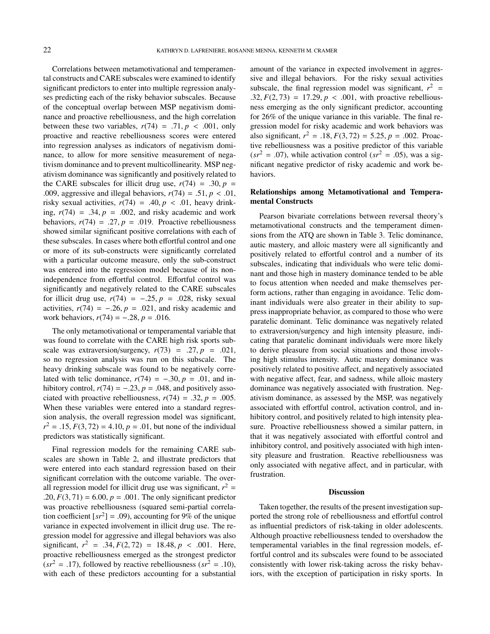Correlations between metamotivational and temperamental constructs and CARE subscales were examined to identify significant predictors to enter into multiple regression analyses predicting each of the risky behavior subscales. Because of the conceptual overlap between MSP negativism dominance and proactive rebelliousness, and the high correlation between these two variables,  $r(74) = .71$ ,  $p < .001$ , only proactive and reactive rebelliousness scores were entered into regression analyses as indicators of negativism dominance, to allow for more sensitive measurement of negativism dominance and to prevent multicollinearity. MSP negativism dominance was significantly and positively related to the CARE subscales for illicit drug use,  $r(74) = .30, p =$ .009, aggressive and illegal behaviors,  $r(74) = .51$ ,  $p < .01$ , risky sexual activities,  $r(74) = .40, p < .01$ , heavy drinking,  $r(74) = .34$ ,  $p = .002$ , and risky academic and work behaviors,  $r(74) = .27$ ,  $p = .019$ . Proactive rebelliousness showed similar significant positive correlations with each of these subscales. In cases where both effortful control and one or more of its sub-constructs were significantly correlated with a particular outcome measure, only the sub-construct was entered into the regression model because of its nonindependence from effortful control. Effortful control was significantly and negatively related to the CARE subscales for illicit drug use,  $r(74) = -.25$ ,  $p = .028$ , risky sexual activities,  $r(74) = -.26$ ,  $p = .021$ , and risky academic and work behaviors,  $r(74) = -.28$ ,  $p = .016$ .

The only metamotivational or temperamental variable that was found to correlate with the CARE high risk sports subscale was extraversion/surgency,  $r(73) = .27$ ,  $p = .021$ , so no regression analysis was run on this subscale. The heavy drinking subscale was found to be negatively correlated with telic dominance,  $r(74) = -.30, p = .01$ , and inhibitory control,  $r(74) = -.23$ ,  $p = .048$ , and positively associated with proactive rebelliousness,  $r(74) = .32$ ,  $p = .005$ . When these variables were entered into a standard regression analysis, the overall regression model was significant,  $r^2 = .15$ ,  $F(3, 72) = 4.10$ ,  $p = .01$ , but none of the individual predictors was statistically significant. predictors was statistically significant.

Final regression models for the remaining CARE subscales are shown in Table 2, and illustrate predictors that were entered into each standard regression based on their significant correlation with the outcome variable. The overall regression model for illicit drug use was significant,  $r^2$  = .20,  $F(3, 71) = 6.00, p = .001$ . The only significant predictor was proactive rebelliousness (squared semi-partial correlation coefficient  $[sr^2] = .09$ ), accounting for 9% of the unique<br>variance in expected involvement in illigit drug use. The revariance in expected involvement in illicit drug use. The regression model for aggressive and illegal behaviors was also significant,  $r^2 = .34$ ,  $F(2, 72) = 18.48$ ,  $p < .001$ . Here, proactive rebelliousness emerged as the strongest predictor  $(sr^{2} = .17)$ , followed by reactive rebelliousness  $(sr^{2} = .10)$ , with each of these predictors accounting for a substantial

amount of the variance in expected involvement in aggressive and illegal behaviors. For the risky sexual activities subscale, the final regression model was significant,  $r^2$  = .32,  $F(2, 73) = 17.29$ ,  $p < .001$ , with proactive rebelliousness emerging as the only significant predictor, accounting for 26% of the unique variance in this variable. The final regression model for risky academic and work behaviors was also significant,  $r^2 = .18$ ,  $F(3, 72) = 5.25$ ,  $p = .002$ . Proac-<br>tive repelliousness was a positive predictor of this variable tive rebelliousness was a positive predictor of this variable  $(sr^2 = .07)$ , while activation control  $(sr^2 = .05)$ , was a significant negative predictor of risky academic and work behaviors.

#### Relationships among Metamotivational and Temperamental Constructs

Pearson bivariate correlations between reversal theory's metamotivational constructs and the temperament dimensions from the ATQ are shown in Table 3. Telic dominance, autic mastery, and alloic mastery were all significantly and positively related to effortful control and a number of its subscales, indicating that individuals who were telic dominant and those high in mastery dominance tended to be able to focus attention when needed and make themselves perform actions, rather than engaging in avoidance. Telic dominant individuals were also greater in their ability to suppress inappropriate behavior, as compared to those who were paratelic dominant. Telic dominance was negatively related to extraversion/surgency and high intensity pleasure, indicating that paratelic dominant individuals were more likely to derive pleasure from social situations and those involving high stimulus intensity. Autic mastery dominance was positively related to positive affect, and negatively associated with negative affect, fear, and sadness, while alloic mastery dominance was negatively associated with frustration. Negativism dominance, as assessed by the MSP, was negatively associated with effortful control, activation control, and inhibitory control, and positively related to high intensity pleasure. Proactive rebelliousness showed a similar pattern, in that it was negatively associated with effortful control and inhibitory control, and positively associated with high intensity pleasure and frustration. Reactive rebelliousness was only associated with negative affect, and in particular, with frustration.

#### **Discussion**

Taken together, the results of the present investigation supported the strong role of rebelliousness and effortful control as influential predictors of risk-taking in older adolescents. Although proactive rebelliousness tended to overshadow the temperamental variables in the final regression models, effortful control and its subscales were found to be associated consistently with lower risk-taking across the risky behaviors, with the exception of participation in risky sports. In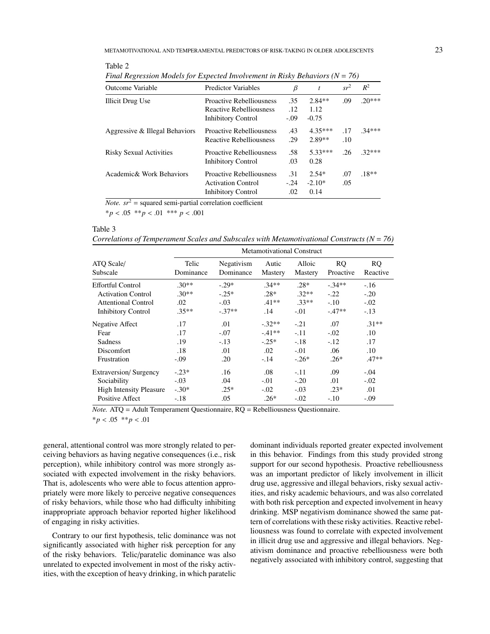| Outcome Variable               | <b>Predictor Variables</b>      | β       | t         | $sr^2$ | $R^2$    |
|--------------------------------|---------------------------------|---------|-----------|--------|----------|
| Illicit Drug Use               | <b>Proactive Rebelliousness</b> | .35     | $2.84**$  | .09    | $20***$  |
|                                | <b>Reactive Rebelliousness</b>  | .12     | 1.12      |        |          |
|                                | <b>Inhibitory Control</b>       | $-0.09$ | $-0.75$   |        |          |
| Aggressive & Illegal Behaviors | <b>Proactive Rebelliousness</b> | .43     | $4.35***$ | .17    | $.34***$ |
|                                | <b>Reactive Rebelliousness</b>  | .29     | $2.89**$  | .10    |          |
| <b>Risky Sexual Activities</b> | <b>Proactive Rebelliousness</b> | .58     | 5.33***   | .26    | $.32***$ |
|                                | <b>Inhibitory Control</b>       | .03     | 0.28      |        |          |
| Academic& Work Behaviors       | <b>Proactive Rebelliousness</b> | .31     | $2.54*$   | .07    | $.18**$  |
|                                | <b>Activation Control</b>       | $-.24$  | $-2.10*$  | .05    |          |
|                                | Inhibitory Control              | .02     | 0.14      |        |          |

*Final Regression Models for Expected Involvement in Risky Behaviors (N* = *76)*

*Note.*  $sr^2$  = squared semi-partial correlation coefficient

\**<sup>p</sup>* < .05 \*\**<sup>p</sup>* < .01 \*\*\* *<sup>p</sup>* < .<sup>001</sup>

### Table 3

Table 2

*Correlations of Temperament Scales and Subscales with Metamotivational Constructs (N* = *76)*

|                                | <b>Metamotivational Construct</b> |            |          |                |               |          |
|--------------------------------|-----------------------------------|------------|----------|----------------|---------------|----------|
| ATQ Scale/                     | Telic                             | Negativism | Autic    | Alloic         | <sub>RO</sub> | RO.      |
| Subscale                       | Dominance                         | Dominance  | Mastery  | <b>Mastery</b> | Proactive     | Reactive |
| Effortful Control              | $.30**$                           | $-.29*$    | $.34**$  | $.28*$         | $-.34**$      | $-.16$   |
| <b>Activation Control</b>      | $.30**$                           | $-25*$     | $.28*$   | $.32**$        | $-.22$        | $-.20$   |
| Attentional Control            | .02                               | $-.03$     | $.41**$  | $.33**$        | $-.10$        | $-.02$   |
| <b>Inhibitory Control</b>      | $.35**$                           | $-.37**$   | .14      | $-.01$         | $-47**$       | $-.13$   |
| Negative Affect                | .17                               | .01        | $-.32**$ | $-.21$         | .07           | $.31**$  |
| Fear                           | .17                               | $-.07$     | $-41**$  | $-.11$         | $-.02$        | .10      |
| Sadness                        | .19                               | $-.13$     | $-.25*$  | $-.18$         | $-.12$        | .17      |
| <b>Discomfort</b>              | .18                               | .01        | .02      | $-.01$         | .06           | .10      |
| Frustration                    | $-.09$                            | .20        | $-14$    | $-.26*$        | $.26*$        | $.47**$  |
| Extraversion/Surgency          | $-.23*$                           | .16        | .08      | $-.11$         | .09           | $-.04$   |
| Sociability                    | $-.03$                            | .04        | $-.01$   | $-.20$         | .01           | $-.02$   |
| <b>High Intensity Pleasure</b> | $-.30*$                           | $.25*$     | $-.02$   | $-.03$         | $.23*$        | .01      |
| Positive Affect                | $-.18$                            | .05        | $.26*$   | $-.02$         | $-.10$        | $-.09$   |

*Note.* ATQ = Adult Temperament Questionnaire, RQ = Rebelliousness Questionnaire.

\**<sup>p</sup>* < .05 \*\**<sup>p</sup>* < .<sup>01</sup>

general, attentional control was more strongly related to perceiving behaviors as having negative consequences (i.e., risk perception), while inhibitory control was more strongly associated with expected involvement in the risky behaviors. That is, adolescents who were able to focus attention appropriately were more likely to perceive negative consequences of risky behaviors, while those who had difficulty inhibiting inappropriate approach behavior reported higher likelihood of engaging in risky activities.

Contrary to our first hypothesis, telic dominance was not significantly associated with higher risk perception for any of the risky behaviors. Telic/paratelic dominance was also unrelated to expected involvement in most of the risky activities, with the exception of heavy drinking, in which paratelic

dominant individuals reported greater expected involvement in this behavior. Findings from this study provided strong support for our second hypothesis. Proactive rebelliousness was an important predictor of likely involvement in illicit drug use, aggressive and illegal behaviors, risky sexual activities, and risky academic behaviours, and was also correlated with both risk perception and expected involvement in heavy drinking. MSP negativism dominance showed the same pattern of correlations with these risky activities. Reactive rebelliousness was found to correlate with expected involvement in illicit drug use and aggressive and illegal behaviors. Negativism dominance and proactive rebelliousness were both negatively associated with inhibitory control, suggesting that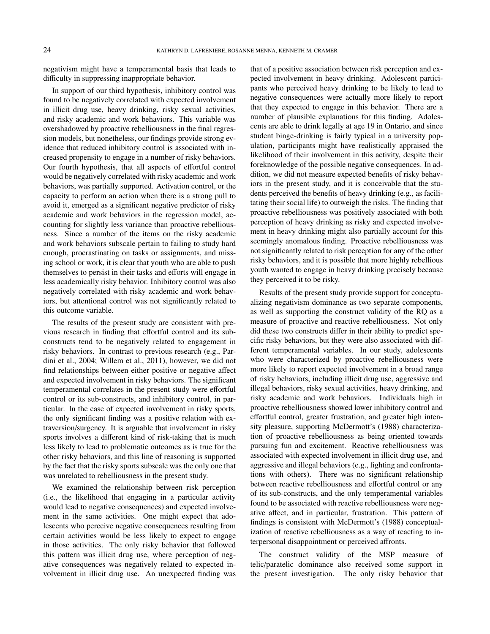negativism might have a temperamental basis that leads to difficulty in suppressing inappropriate behavior.

In support of our third hypothesis, inhibitory control was found to be negatively correlated with expected involvement in illicit drug use, heavy drinking, risky sexual activities, and risky academic and work behaviors. This variable was overshadowed by proactive rebelliousness in the final regression models, but nonetheless, our findings provide strong evidence that reduced inhibitory control is associated with increased propensity to engage in a number of risky behaviors. Our fourth hypothesis, that all aspects of effortful control would be negatively correlated with risky academic and work behaviors, was partially supported. Activation control, or the capacity to perform an action when there is a strong pull to avoid it, emerged as a significant negative predictor of risky academic and work behaviors in the regression model, accounting for slightly less variance than proactive rebelliousness. Since a number of the items on the risky academic and work behaviors subscale pertain to failing to study hard enough, procrastinating on tasks or assignments, and missing school or work, it is clear that youth who are able to push themselves to persist in their tasks and efforts will engage in less academically risky behavior. Inhibitory control was also negatively correlated with risky academic and work behaviors, but attentional control was not significantly related to this outcome variable.

The results of the present study are consistent with previous research in finding that effortful control and its subconstructs tend to be negatively related to engagement in risky behaviors. In contrast to previous research (e.g., Pardini et al., 2004; Willem et al., 2011), however, we did not find relationships between either positive or negative affect and expected involvement in risky behaviors. The significant temperamental correlates in the present study were effortful control or its sub-constructs, and inhibitory control, in particular. In the case of expected involvement in risky sports, the only significant finding was a positive relation with extraversion/surgency. It is arguable that involvement in risky sports involves a different kind of risk-taking that is much less likely to lead to problematic outcomes as is true for the other risky behaviors, and this line of reasoning is supported by the fact that the risky sports subscale was the only one that was unrelated to rebelliousness in the present study.

We examined the relationship between risk perception (i.e., the likelihood that engaging in a particular activity would lead to negative consequences) and expected involvement in the same activities. One might expect that adolescents who perceive negative consequences resulting from certain activities would be less likely to expect to engage in those activities. The only risky behavior that followed this pattern was illicit drug use, where perception of negative consequences was negatively related to expected involvement in illicit drug use. An unexpected finding was that of a positive association between risk perception and expected involvement in heavy drinking. Adolescent participants who perceived heavy drinking to be likely to lead to negative consequences were actually more likely to report that they expected to engage in this behavior. There are a number of plausible explanations for this finding. Adolescents are able to drink legally at age 19 in Ontario, and since student binge-drinking is fairly typical in a university population, participants might have realistically appraised the likelihood of their involvement in this activity, despite their foreknowledge of the possible negative consequences. In addition, we did not measure expected benefits of risky behaviors in the present study, and it is conceivable that the students perceived the benefits of heavy drinking (e.g., as facilitating their social life) to outweigh the risks. The finding that proactive rebelliousness was positively associated with both perception of heavy drinking as risky and expected involvement in heavy drinking might also partially account for this seemingly anomalous finding. Proactive rebelliousness was not significantly related to risk perception for any of the other risky behaviors, and it is possible that more highly rebellious youth wanted to engage in heavy drinking precisely because they perceived it to be risky.

Results of the present study provide support for conceptualizing negativism dominance as two separate components, as well as supporting the construct validity of the RQ as a measure of proactive and reactive rebelliousness. Not only did these two constructs differ in their ability to predict specific risky behaviors, but they were also associated with different temperamental variables. In our study, adolescents who were characterized by proactive rebelliousness were more likely to report expected involvement in a broad range of risky behaviors, including illicit drug use, aggressive and illegal behaviors, risky sexual activities, heavy drinking, and risky academic and work behaviors. Individuals high in proactive rebelliousness showed lower inhibitory control and effortful control, greater frustration, and greater high intensity pleasure, supporting McDermott's (1988) characterization of proactive rebelliousness as being oriented towards pursuing fun and excitement. Reactive rebelliousness was associated with expected involvement in illicit drug use, and aggressive and illegal behaviors (e.g., fighting and confrontations with others). There was no significant relationship between reactive rebelliousness and effortful control or any of its sub-constructs, and the only temperamental variables found to be associated with reactive rebelliousness were negative affect, and in particular, frustration. This pattern of findings is consistent with McDermott's (1988) conceptualization of reactive rebelliousness as a way of reacting to interpersonal disappointment or perceived affronts.

The construct validity of the MSP measure of telic/paratelic dominance also received some support in the present investigation. The only risky behavior that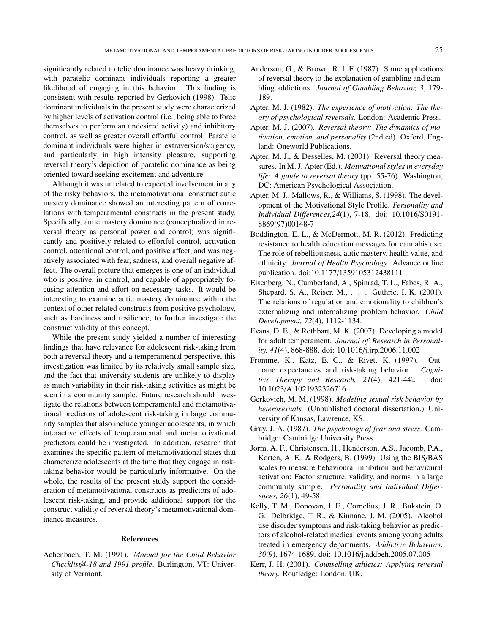significantly related to telic dominance was heavy drinking, with paratelic dominant individuals reporting a greater likelihood of engaging in this behavior. This finding is consistent with results reported by Gerkovich (1998). Telic dominant individuals in the present study were characterized by higher levels of activation control (i.e., being able to force themselves to perform an undesired activity) and inhibitory control, as well as greater overall effortful control. Paratelic dominant individuals were higher in extraversion/surgency, and particularly in high intensity pleasure, supporting reversal theory's depiction of paratelic dominance as being oriented toward seeking excitement and adventure.

Although it was unrelated to expected involvement in any of the risky behaviors, the metamotivational construct autic mastery dominance showed an interesting pattern of correlations with temperamental constructs in the present study. Specifically, autic mastery dominance (conceptualized in reversal theory as personal power and control) was significantly and positively related to effortful control, activation control, attentional control, and positive affect, and was negatively associated with fear, sadness, and overall negative affect. The overall picture that emerges is one of an individual who is positive, in control, and capable of appropriately focusing attention and effort on necessary tasks. It would be interesting to examine autic mastery dominance within the context of other related constructs from positive psychology, such as hardiness and resilience, to further investigate the construct validity of this concept.

While the present study yielded a number of interesting findings that have relevance for adolescent risk-taking from both a reversal theory and a temperamental perspective, this investigation was limited by its relatively small sample size, and the fact that university students are unlikely to display as much variability in their risk-taking activities as might be seen in a community sample. Future research should investigate the relations between temperamental and metamotivational predictors of adolescent risk-taking in large community samples that also include younger adolescents, in which interactive effects of temperamental and metamotivational predictors could be investigated. In addition, research that examines the specific pattern of metamotivational states that characterize adolescents at the time that they engage in risktaking behavior would be particularly informative. On the whole, the results of the present study support the consideration of metamotivational constructs as predictors of adolescent risk-taking, and provide additional support for the construct validity of reversal theory's metamotivational dominance measures.

#### References

Achenbach, T. M. (1991). *Manual for the Child Behavior Checklist*/*4-18 and 1991 profile*. Burlington, VT: University of Vermont.

- Anderson, G., & Brown, R. I. F. (1987). Some applications of reversal theory to the explanation of gambling and gambling addictions. *Journal of Gambling Behavior, 3*, 179- 189.
- Apter, M. J. (1982). *The experience of motivation: The theory of psychological reversals.* London: Academic Press.
- Apter, M. J. (2007). *Reversal theory: The dynamics of motivation, emotion, and personality* (2nd ed). Oxford, England: Oneworld Publications.
- Apter, M. J., & Desselles, M. (2001). Reversal theory measures. In M. J. Apter (Ed.). *Motivational styles in everyday life: A guide to reversal theory* (pp. 55-76). Washington, DC: American Psychological Association.
- Apter, M. J., Mallows, R., & Williams, S. (1998). The development of the Motivational Style Profile. *Personality and Individual Di*ff*erences,24*(1), 7-18. doi: 10.1016/S0191- 8869(97)00148-7
- Boddington, E. L., & McDermott, M. R. (2012). Predicting resistance to health education messages for cannabis use: The role of rebelliousness, autic mastery, health value, and ethnicity. *Journal of Health Psychology*. Advance online publication. doi:10.1177/1359105312438111
- Eisenberg, N., Cumberland, A., Spinrad, T. L., Fabes, R. A., Shepard, S. A., Reiser, M., . . . Guthrie, I. K. (2001). The relations of regulation and emotionality to children's externalizing and internalizing problem behavior. *Child Development, 72*(4), 1112-1134.
- Evans, D. E., & Rothbart, M. K. (2007). Developing a model for adult temperament. *Journal of Research in Personality, 41*(4), 868-888. doi: 10.1016/j.jrp.2006.11.002
- Fromme, K., Katz, E. C., & Rivet, K. (1997). Outcome expectancies and risk-taking behavior. *Cognitive Therapy and Research, 21*(4), 421-442. doi: 10.1023/A:1021932326716
- Gerkovich, M. M. (1998). *Modeling sexual risk behavior by heterosexuals.* (Unpublished doctoral dissertation.) University of Kansas, Lawrence, KS.
- Gray, J. A. (1987). *The psychology of fear and stress.* Cambridge: Cambridge University Press.
- Jorm, A. F., Christensen, H., Henderson, A.S., Jacomb, P.A., Korten, A. E., & Rodgers, B. (1999). Using the BIS/BAS scales to measure behavioural inhibition and behavioural activation: Factor structure, validity, and norms in a large community sample. *Personality and Individual Di*ff*erences, 26*(1), 49-58.
- Kelly, T. M., Donovan, J. E., Cornelius, J. R., Bukstein, O. G., Delbridge, T. R., & Kinnane, J. M. (2005). Alcohol use disorder symptoms and risk-taking behavior as predictors of alcohol-related medical events among young adults treated in emergency departments. *Addictive Behaviors, 30*(9), 1674-1689. doi: 10.1016/j.addbeh.2005.07.005
- Kerr, J. H. (2001). *Counselling athletes: Applying reversal theory.* Routledge: London, UK.